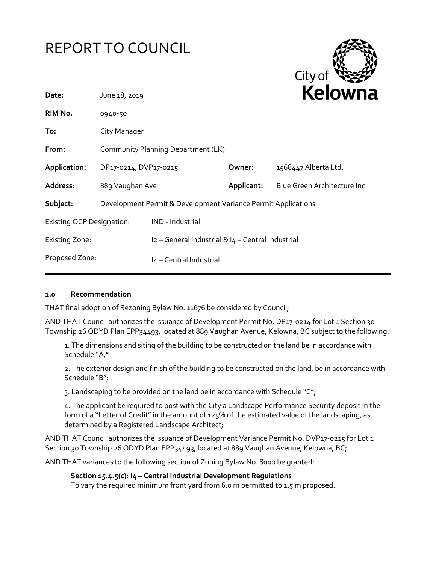



| June 18, 2019                    |                         |                                          | <b>Relowna</b>                                                                                                                                           |
|----------------------------------|-------------------------|------------------------------------------|----------------------------------------------------------------------------------------------------------------------------------------------------------|
| 0940-50                          |                         |                                          |                                                                                                                                                          |
| City Manager                     |                         |                                          |                                                                                                                                                          |
|                                  |                         |                                          |                                                                                                                                                          |
|                                  |                         | Owner:                                   | 1568447 Alberta Ltd.                                                                                                                                     |
|                                  |                         | Applicant:                               | Blue Green Architecture Inc.                                                                                                                             |
|                                  |                         |                                          |                                                                                                                                                          |
| <b>Existing OCP Designation:</b> | IND - Industrial        |                                          |                                                                                                                                                          |
|                                  |                         |                                          |                                                                                                                                                          |
| Proposed Zone:                   | I4 - Central Industrial |                                          |                                                                                                                                                          |
|                                  |                         | DP17-0214, DVP17-0215<br>889 Vaughan Ave | Community Planning Department (LK)<br>Development Permit & Development Variance Permit Applications<br>I2 - General Industrial & I4 - Central Industrial |

## **1.0 Recommendation**

THAT final adoption of Rezoning Bylaw No. 11676 be considered by Council;

AND THAT Council authorizes the issuance of Development Permit No. DP17-0214 for Lot 1 Section 30 Township 26 ODYD Plan EPP34493, located at 889 Vaughan Avenue, Kelowna, BC subject to the following:

1. The dimensions and siting of the building to be constructed on the land be in accordance with Schedule "A,"

2. The exterior design and finish of the building to be constructed on the land, be in accordance with Schedule "B";

3. Landscaping to be provided on the land be in accordance with Schedule "C";

4. The applicant be required to post with the City a Landscape Performance Security deposit in the form of a "Letter of Credit" in the amount of 125% of the estimated value of the landscaping, as determined by a Registered Landscape Architect;

AND THAT Council authorizes the issuance of Development Variance Permit No. DVP17-0215 for Lot 1 Section 30 Township 26 ODYD Plan EPP34493, located at 889 Vaughan Avenue, Kelowna, BC;

AND THAT variances to the following section of Zoning Bylaw No. 8000 be granted:

#### **Section 15.4.5(c): I4 – Central Industrial Development Regulations**

To vary the required minimum front yard from 6.0 m permitted to 1.5 m proposed.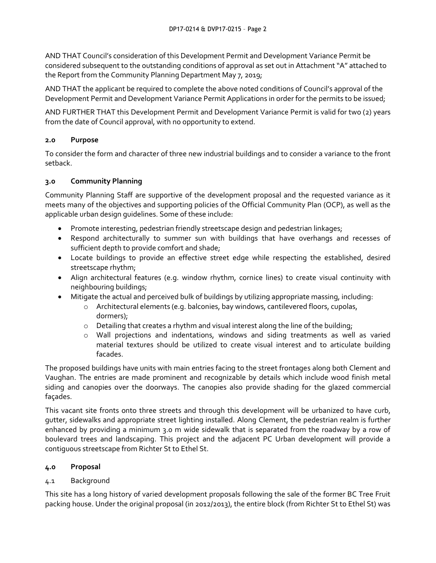AND THAT Council's consideration of this Development Permit and Development Variance Permit be considered subsequent to the outstanding conditions of approval as set out in Attachment "A" attached to the Report from the Community Planning Department May 7, 2019;

AND THAT the applicant be required to complete the above noted conditions of Council's approval of the Development Permit and Development Variance Permit Applications in order for the permits to be issued;

AND FURTHER THAT this Development Permit and Development Variance Permit is valid for two (2) years from the date of Council approval, with no opportunity to extend.

## **2.0 Purpose**

To consider the form and character of three new industrial buildings and to consider a variance to the front setback.

## **3.0 Community Planning**

Community Planning Staff are supportive of the development proposal and the requested variance as it meets many of the objectives and supporting policies of the Official Community Plan (OCP), as well as the applicable urban design guidelines. Some of these include:

- Promote interesting, pedestrian friendly streetscape design and pedestrian linkages;
- Respond architecturally to summer sun with buildings that have overhangs and recesses of sufficient depth to provide comfort and shade;
- Locate buildings to provide an effective street edge while respecting the established, desired streetscape rhythm;
- Align architectural features (e.g. window rhythm, cornice lines) to create visual continuity with neighbouring buildings;
- Mitigate the actual and perceived bulk of buildings by utilizing appropriate massing, including:
	- o Architectural elements (e.g. balconies, bay windows, cantilevered floors, cupolas, dormers);
	- $\circ$  Detailing that creates a rhythm and visual interest along the line of the building;
	- o Wall projections and indentations, windows and siding treatments as well as varied material textures should be utilized to create visual interest and to articulate building facades.

The proposed buildings have units with main entries facing to the street frontages along both Clement and Vaughan. The entries are made prominent and recognizable by details which include wood finish metal siding and canopies over the doorways. The canopies also provide shading for the glazed commercial façades.

This vacant site fronts onto three streets and through this development will be urbanized to have curb, gutter, sidewalks and appropriate street lighting installed. Along Clement, the pedestrian realm is further enhanced by providing a minimum 3.0 m wide sidewalk that is separated from the roadway by a row of boulevard trees and landscaping. This project and the adjacent PC Urban development will provide a contiguous streetscape from Richter St to Ethel St.

## **4.0 Proposal**

## 4.1 Background

This site has a long history of varied development proposals following the sale of the former BC Tree Fruit packing house. Under the original proposal (in 2012/2013), the entire block (from Richter St to Ethel St) was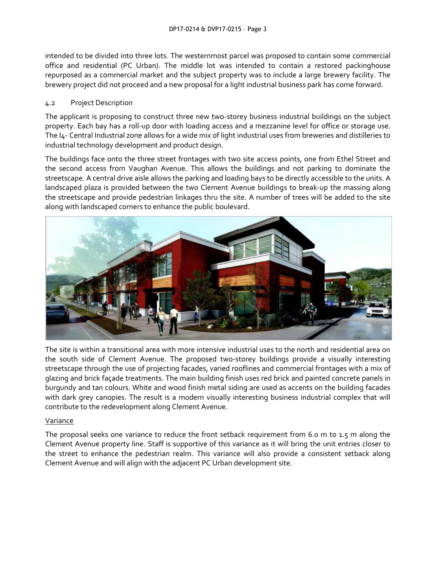intended to be divided into three lots. The westernmost parcel was proposed to contain some commercial office and residential (PC Urban). The middle lot was intended to contain a restored packinghouse repurposed as a commercial market and the subject property was to include a large brewery facility. The brewery project did not proceed and a new proposal for a light industrial business park has come forward.

### 4.2 Project Description

The applicant is proposing to construct three new two-storey business industrial buildings on the subject property. Each bay has a roll-up door with loading access and a mezzanine level for office or storage use. The I4- Central Industrial zone allows for a wide mix of light industrial uses from breweries and distilleries to industrial technology development and product design.

The buildings face onto the three street frontages with two site access points, one from Ethel Street and the second access from Vaughan Avenue. This allows the buildings and not parking to dominate the streetscape. A central drive aisle allows the parking and loading bays to be directly accessible to the units. A landscaped plaza is provided between the two Clement Avenue buildings to break-up the massing along the streetscape and provide pedestrian linkages thru the site. A number of trees will be added to the site along with landscaped corners to enhance the public boulevard.



The site is within a transitional area with more intensive industrial uses to the north and residential area on the south side of Clement Avenue. The proposed two-storey buildings provide a visually interesting streetscape through the use of projecting facades, varied rooflines and commercial frontages with a mix of glazing and brick façade treatments. The main building finish uses red brick and painted concrete panels in burgundy and tan colours. White and wood finish metal siding are used as accents on the building facades with dark grey canopies. The result is a modern visually interesting business industrial complex that will contribute to the redevelopment along Clement Avenue.

## Variance

The proposal seeks one variance to reduce the front setback requirement from 6.0 m to 1.5 m along the Clement Avenue property line. Staff is supportive of this variance as it will bring the unit entries closer to the street to enhance the pedestrian realm. This variance will also provide a consistent setback along Clement Avenue and will align with the adjacent PC Urban development site.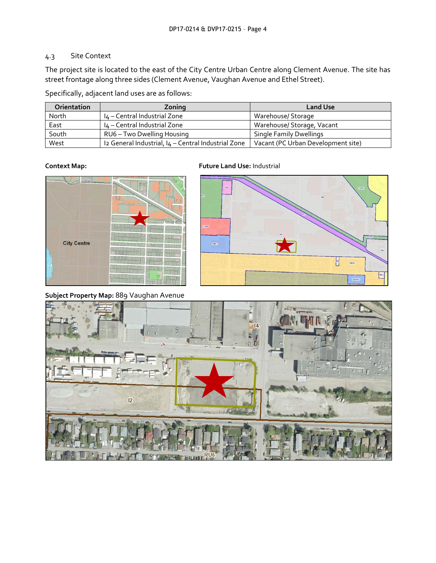## 4.3 Site Context

The project site is located to the east of the City Centre Urban Centre along Clement Avenue. The site has street frontage along three sides (Clement Avenue, Vaughan Avenue and Ethel Street).

Specifically, adjacent land uses are as follows:

| <b>Orientation</b> | Zoning                                              | <b>Land Use</b>                    |
|--------------------|-----------------------------------------------------|------------------------------------|
| North              | I4 - Central Industrial Zone                        | Warehouse/ Storage                 |
| East               | I4 - Central Industrial Zone                        | Warehouse/ Storage, Vacant         |
| South              | RU6 - Two Dwelling Housing                          | <b>Single Family Dwellings</b>     |
| West               | Iz General Industrial, I4 - Central Industrial Zone | Vacant (PC Urban Development site) |



**Subject Property Map:** 889 Vaughan Avenue

**Context Map: Future Land Use:** Industrial



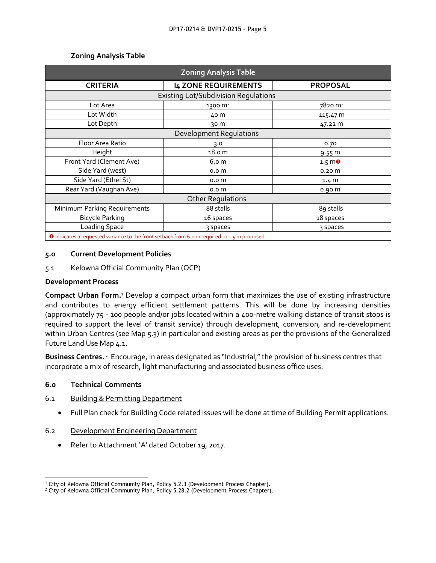| <b>Zoning Analysis Table</b>                                                                                        |                             |                                |  |  |
|---------------------------------------------------------------------------------------------------------------------|-----------------------------|--------------------------------|--|--|
| <b>CRITERIA</b>                                                                                                     | <b>I4 ZONE REQUIREMENTS</b> | <b>PROPOSAL</b>                |  |  |
| <b>Existing Lot/Subdivision Requlations</b>                                                                         |                             |                                |  |  |
| Lot Area                                                                                                            | 1300 m <sup>2</sup>         | $78$ 20 m <sup>2</sup>         |  |  |
| Lot Width                                                                                                           | 40 m                        | 115.47 m                       |  |  |
| Lot Depth                                                                                                           | 30 m                        | 47.22 m                        |  |  |
| <b>Development Regulations</b>                                                                                      |                             |                                |  |  |
| Floor Area Ratio                                                                                                    | 3.0                         | 0.70                           |  |  |
| Height                                                                                                              | 18.0 <sub>m</sub>           | $9.55 \, \text{m}$             |  |  |
| Front Yard (Clement Ave)                                                                                            | 6.o m                       | $1.5 \, \text{m}$ <sup>0</sup> |  |  |
| Side Yard (west)                                                                                                    | 0.0 <sub>m</sub>            | 0.20 <sub>m</sub>              |  |  |
| Side Yard (Ethel St)                                                                                                | 0.0 <sub>m</sub>            | 1.4 M                          |  |  |
| Rear Yard (Vaughan Ave)                                                                                             | 0.0 <sub>m</sub>            | 0.90 <sub>m</sub>              |  |  |
| <b>Other Regulations</b>                                                                                            |                             |                                |  |  |
| Minimum Parking Requirements                                                                                        | 88 stalls                   | 89 stalls                      |  |  |
| <b>Bicycle Parking</b>                                                                                              | 16 spaces                   | 18 spaces                      |  |  |
| Loading Space                                                                                                       | 3 spaces                    | 3 spaces                       |  |  |
| A ta disease e concerna di cente e en aleman esta esta el Comercio en un ciudad a el comunicación de la comunicació |                             |                                |  |  |

#### **Zoning Analysis Table**

**ID** Indicates a requested variance to the front setback from 6.0 m required to 1.5 m proposed

#### **5.0 Current Development Policies**

5.1 Kelowna Official Community Plan (OCP)

#### **Development Process**

**Compact Urban Form.**<sup>1</sup> Develop a compact urban form that maximizes the use of existing infrastructure and contributes to energy efficient settlement patterns. This will be done by increasing densities (approximately 75 - 100 people and/or jobs located within a 400-metre walking distance of transit stops is required to support the level of transit service) through development, conversion, and re-development within Urban Centres (see Map 5.3) in particular and existing areas as per the provisions of the Generalized Future Land Use Map 4.1.

**Business Centres.** <sup>2</sup> Encourage, in areas designated as "Industrial," the provision of business centres that incorporate a mix of research, light manufacturing and associated business office uses.

#### **6.0 Technical Comments**

-

#### 6.1 Building & Permitting Department

Full Plan check for Building Code related issues will be done at time of Building Permit applications.

#### 6.2 Development Engineering Department

Refer to Attachment 'A' dated October 19, 2017.

<sup>1</sup> City of Kelowna Official Community Plan, Policy 5.2.3 (Development Process Chapter).

<sup>&</sup>lt;sup>2</sup> City of Kelowna Official Community Plan, Policy 5.28.2 (Development Process Chapter).